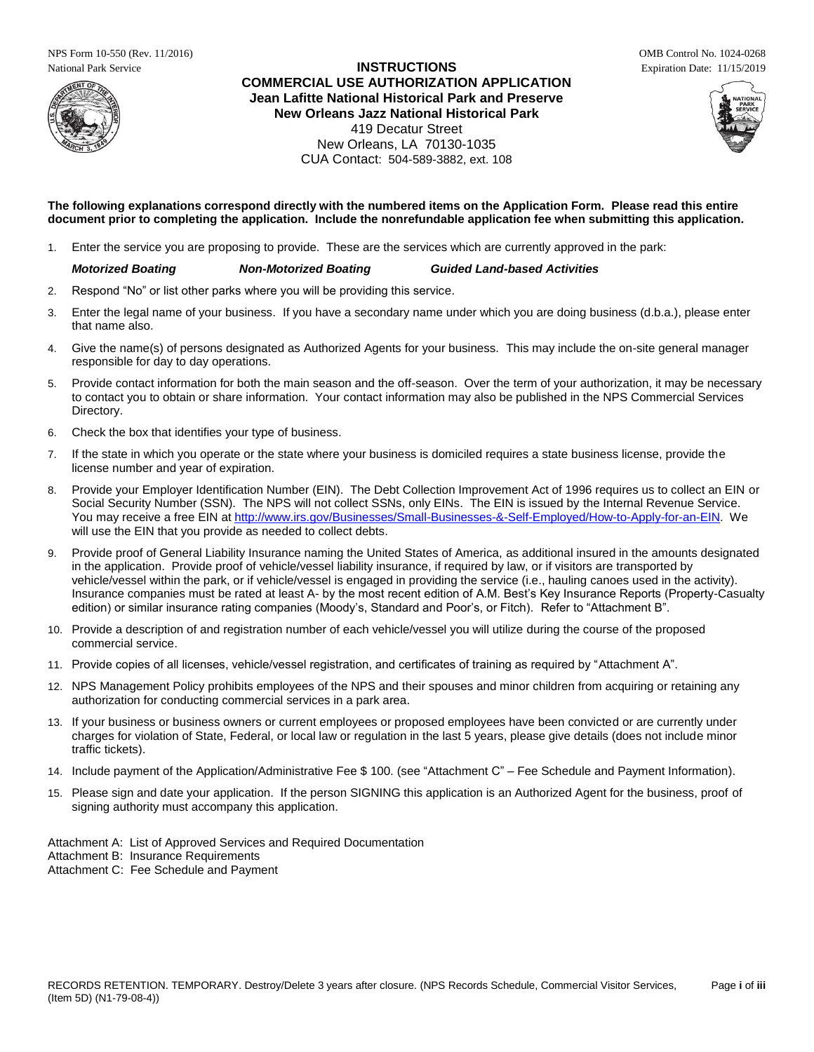NPS Form 10-550 (Rev. 11/2016) OMB Control No. 1024-0268



# National Park Service **INSTRUCTIONS** Expiration Date: 11/15/2019 **COMMERCIAL USE AUTHORIZATION APPLICATION Jean Lafitte National Historical Park and Preserve New Orleans Jazz National Historical Park** 419 Decatur Street New Orleans, LA 70130-1035 CUA Contact: 504-589-3882, ext. 108





**The following explanations correspond directly with the numbered items on the Application Form. Please read this entire document prior to completing the application. Include the nonrefundable application fee when submitting this application.**

1. Enter the service you are proposing to provide. These are the services which are currently approved in the park:

# *Motorized Boating Non-Motorized Boating Guided Land-based Activities*

- 2. Respond "No" or list other parks where you will be providing this service.
- 3. Enter the legal name of your business. If you have a secondary name under which you are doing business (d.b.a.), please enter that name also.
- 4. Give the name(s) of persons designated as Authorized Agents for your business. This may include the on-site general manager responsible for day to day operations.
- 5. Provide contact information for both the main season and the off-season. Over the term of your authorization, it may be necessary to contact you to obtain or share information. Your contact information may also be published in the NPS Commercial Services Directory.
- 6. Check the box that identifies your type of business.
- 7. If the state in which you operate or the state where your business is domiciled requires a state business license, provide the license number and year of expiration.
- 8. Provide your Employer Identification Number (EIN). The Debt Collection Improvement Act of 1996 requires us to collect an EIN or Social Security Number (SSN). The NPS will not collect SSNs, only EINs. The EIN is issued by the Internal Revenue Service. You may receive a free EIN a[t http://www.irs.gov/Businesses/Small-Businesses-&-Self-Employed/How-to-Apply-for-an-EIN.](http://www.irs.gov/Businesses/Small-Businesses-&-Self-Employed/How-to-Apply-for-an-EIN) We will use the EIN that you provide as needed to collect debts.
- 9. Provide proof of General Liability Insurance naming the United States of America, as additional insured in the amounts designated in the application. Provide proof of vehicle/vessel liability insurance, if required by law, or if visitors are transported by vehicle/vessel within the park, or if vehicle/vessel is engaged in providing the service (i.e., hauling canoes used in the activity). Insurance companies must be rated at least A- by the most recent edition of A.M. Best's Key Insurance Reports (Property-Casualty edition) or similar insurance rating companies (Moody's, Standard and Poor's, or Fitch). Refer to "Attachment B".
- 10. Provide a description of and registration number of each vehicle/vessel you will utilize during the course of the proposed commercial service.
- 11. Provide copies of all licenses, vehicle/vessel registration, and certificates of training as required by "Attachment A".
- 12. NPS Management Policy prohibits employees of the NPS and their spouses and minor children from acquiring or retaining any authorization for conducting commercial services in a park area.
- 13. If your business or business owners or current employees or proposed employees have been convicted or are currently under charges for violation of State, Federal, or local law or regulation in the last 5 years, please give details (does not include minor traffic tickets).
- 14. Include payment of the Application/Administrative Fee \$ 100. (see "Attachment C" Fee Schedule and Payment Information).
- 15. Please sign and date your application. If the person SIGNING this application is an Authorized Agent for the business, proof of signing authority must accompany this application.

Attachment A: List of Approved Services and Required Documentation

Attachment B: Insurance Requirements

Attachment C: Fee Schedule and Payment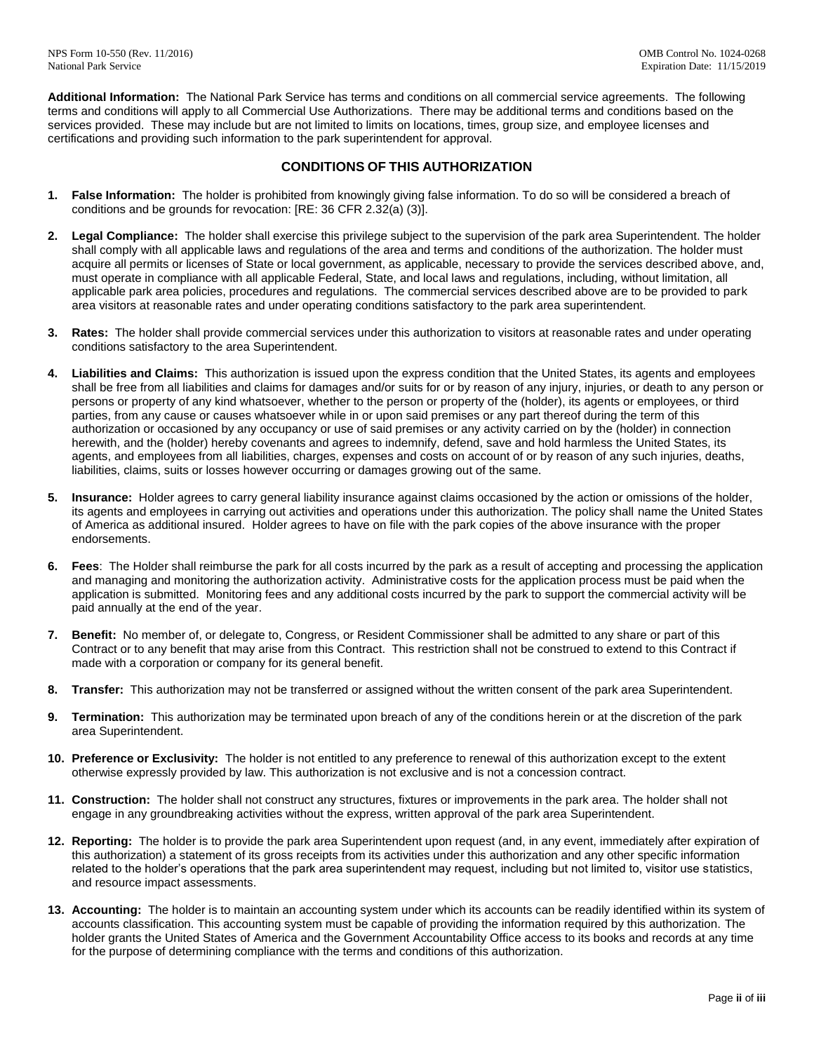**Additional Information:** The National Park Service has terms and conditions on all commercial service agreements. The following terms and conditions will apply to all Commercial Use Authorizations. There may be additional terms and conditions based on the services provided. These may include but are not limited to limits on locations, times, group size, and employee licenses and certifications and providing such information to the park superintendent for approval.

# **CONDITIONS OF THIS AUTHORIZATION**

- **1. False Information:** The holder is prohibited from knowingly giving false information. To do so will be considered a breach of conditions and be grounds for revocation: [RE: 36 CFR 2.32(a) (3)].
- **2. Legal Compliance:** The holder shall exercise this privilege subject to the supervision of the park area Superintendent. The holder shall comply with all applicable laws and regulations of the area and terms and conditions of the authorization. The holder must acquire all permits or licenses of State or local government, as applicable, necessary to provide the services described above, and, must operate in compliance with all applicable Federal, State, and local laws and regulations, including, without limitation, all applicable park area policies, procedures and regulations. The commercial services described above are to be provided to park area visitors at reasonable rates and under operating conditions satisfactory to the park area superintendent.
- **3. Rates:** The holder shall provide commercial services under this authorization to visitors at reasonable rates and under operating conditions satisfactory to the area Superintendent.
- **4. Liabilities and Claims:** This authorization is issued upon the express condition that the United States, its agents and employees shall be free from all liabilities and claims for damages and/or suits for or by reason of any injury, injuries, or death to any person or persons or property of any kind whatsoever, whether to the person or property of the (holder), its agents or employees, or third parties, from any cause or causes whatsoever while in or upon said premises or any part thereof during the term of this authorization or occasioned by any occupancy or use of said premises or any activity carried on by the (holder) in connection herewith, and the (holder) hereby covenants and agrees to indemnify, defend, save and hold harmless the United States, its agents, and employees from all liabilities, charges, expenses and costs on account of or by reason of any such injuries, deaths, liabilities, claims, suits or losses however occurring or damages growing out of the same.
- **5. Insurance:** Holder agrees to carry general liability insurance against claims occasioned by the action or omissions of the holder, its agents and employees in carrying out activities and operations under this authorization. The policy shall name the United States of America as additional insured. Holder agrees to have on file with the park copies of the above insurance with the proper endorsements.
- **6. Fees**: The Holder shall reimburse the park for all costs incurred by the park as a result of accepting and processing the application and managing and monitoring the authorization activity. Administrative costs for the application process must be paid when the application is submitted. Monitoring fees and any additional costs incurred by the park to support the commercial activity will be paid annually at the end of the year.
- **7. Benefit:** No member of, or delegate to, Congress, or Resident Commissioner shall be admitted to any share or part of this Contract or to any benefit that may arise from this Contract. This restriction shall not be construed to extend to this Contract if made with a corporation or company for its general benefit.
- **8. Transfer:** This authorization may not be transferred or assigned without the written consent of the park area Superintendent.
- **9. Termination:** This authorization may be terminated upon breach of any of the conditions herein or at the discretion of the park area Superintendent.
- **10. Preference or Exclusivity:** The holder is not entitled to any preference to renewal of this authorization except to the extent otherwise expressly provided by law. This authorization is not exclusive and is not a concession contract.
- **11. Construction:** The holder shall not construct any structures, fixtures or improvements in the park area. The holder shall not engage in any groundbreaking activities without the express, written approval of the park area Superintendent.
- **12. Reporting:** The holder is to provide the park area Superintendent upon request (and, in any event, immediately after expiration of this authorization) a statement of its gross receipts from its activities under this authorization and any other specific information related to the holder's operations that the park area superintendent may request, including but not limited to, visitor use statistics, and resource impact assessments.
- **13. Accounting:** The holder is to maintain an accounting system under which its accounts can be readily identified within its system of accounts classification. This accounting system must be capable of providing the information required by this authorization. The holder grants the United States of America and the Government Accountability Office access to its books and records at any time for the purpose of determining compliance with the terms and conditions of this authorization.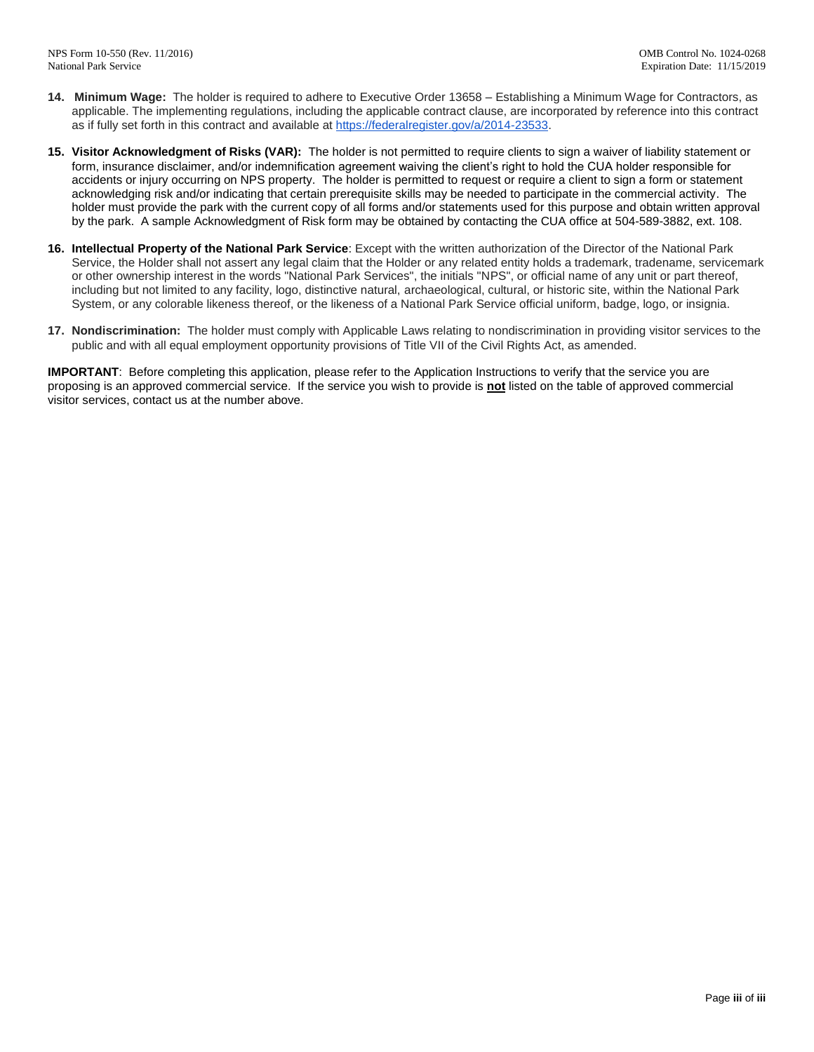- **14. Minimum Wage:** The holder is required to adhere to Executive Order 13658 Establishing a Minimum Wage for Contractors, as applicable. The implementing regulations, including the applicable contract clause, are incorporated by reference into this contract as if fully set forth in this contract and available at [https://federalregister.gov/a/2014-23533.](https://federalregister.gov/a/2014-23533)
- **15. Visitor Acknowledgment of Risks (VAR):** The holder is not permitted to require clients to sign a waiver of liability statement or form, insurance disclaimer, and/or indemnification agreement waiving the client's right to hold the CUA holder responsible for accidents or injury occurring on NPS property. The holder is permitted to request or require a client to sign a form or statement acknowledging risk and/or indicating that certain prerequisite skills may be needed to participate in the commercial activity. The holder must provide the park with the current copy of all forms and/or statements used for this purpose and obtain written approval by the park. A sample Acknowledgment of Risk form may be obtained by contacting the CUA office at 504-589-3882, ext. 108.
- **16. Intellectual Property of the National Park Service**: Except with the written authorization of the Director of the National Park Service, the Holder shall not assert any legal claim that the Holder or any related entity holds a trademark, tradename, servicemark or other ownership interest in the words "National Park Services", the initials "NPS", or official name of any unit or part thereof, including but not limited to any facility, logo, distinctive natural, archaeological, cultural, or historic site, within the National Park System, or any colorable likeness thereof, or the likeness of a National Park Service official uniform, badge, logo, or insignia.
- **17. Nondiscrimination:** The holder must comply with Applicable Laws relating to nondiscrimination in providing visitor services to the public and with all equal employment opportunity provisions of Title VII of the Civil Rights Act, as amended.

**IMPORTANT**: Before completing this application, please refer to the Application Instructions to verify that the service you are proposing is an approved commercial service. If the service you wish to provide is **not** listed on the table of approved commercial visitor services, contact us at the number above.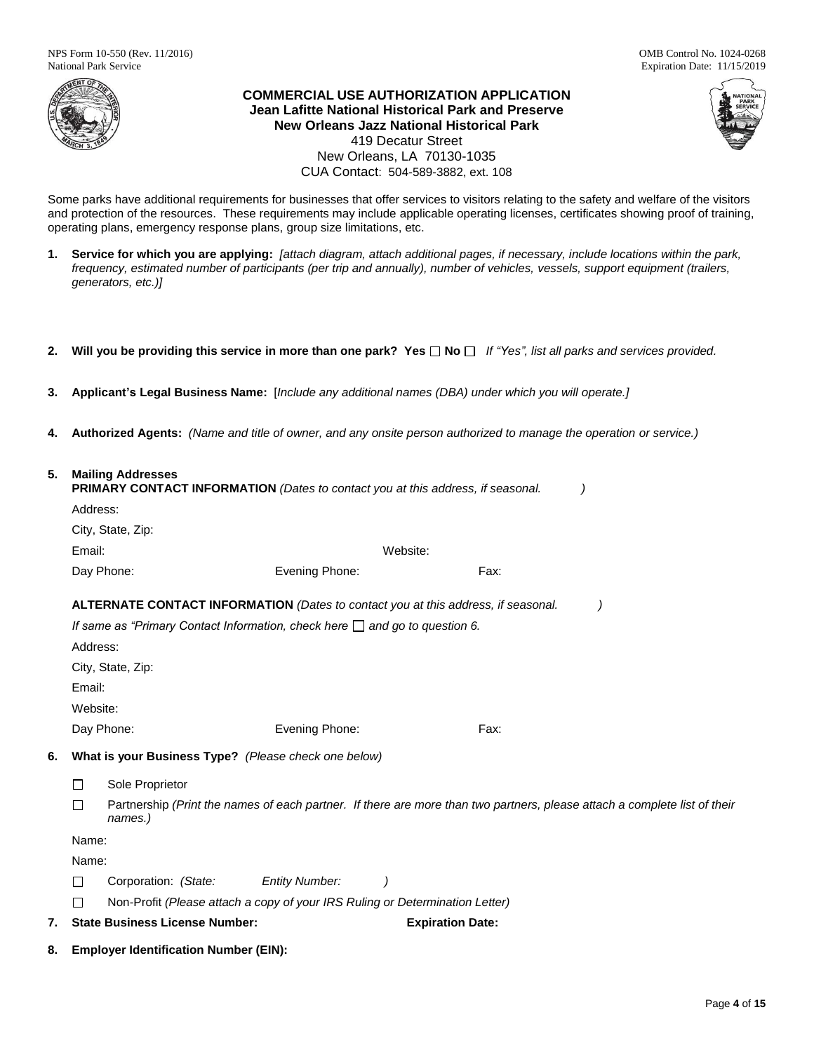

**COMMERCIAL USE AUTHORIZATION APPLICATION Jean Lafitte National Historical Park and Preserve New Orleans Jazz National Historical Park** 419 Decatur Street New Orleans, LA 70130-1035 CUA Contact: 504-589-3882, ext. 108



Some parks have additional requirements for businesses that offer services to visitors relating to the safety and welfare of the visitors and protection of the resources. These requirements may include applicable operating licenses, certificates showing proof of training, operating plans, emergency response plans, group size limitations, etc.

- **1. Service for which you are applying:** *[attach diagram, attach additional pages, if necessary, include locations within the park, frequency, estimated number of participants (per trip and annually), number of vehicles, vessels, support equipment (trailers, generators, etc.)]*
- **2. Will you be providing this service in more than one park? Yes No** *If "Yes", list all parks and services provided.*
- **3. Applicant's Legal Business Name:** [*Include any additional names (DBA) under which you will operate.]*
- **4. Authorized Agents:** *(Name and title of owner, and any onsite person authorized to manage the operation or service.)*

# **5. Mailing Addresses**

|    | <b>PRIMARY CONTACT INFORMATION</b> (Dates to contact you at this address, if seasonal. |                                       |                                                                                   |                         |      |                                                                                                                           |
|----|----------------------------------------------------------------------------------------|---------------------------------------|-----------------------------------------------------------------------------------|-------------------------|------|---------------------------------------------------------------------------------------------------------------------------|
|    | Address:                                                                               |                                       |                                                                                   |                         |      |                                                                                                                           |
|    |                                                                                        | City, State, Zip:                     |                                                                                   |                         |      |                                                                                                                           |
|    | Email:                                                                                 |                                       |                                                                                   | Website:                |      |                                                                                                                           |
|    |                                                                                        | Day Phone:                            | Evening Phone:                                                                    |                         | Fax: |                                                                                                                           |
|    |                                                                                        |                                       | ALTERNATE CONTACT INFORMATION (Dates to contact you at this address, if seasonal. |                         |      |                                                                                                                           |
|    |                                                                                        |                                       | If same as "Primary Contact Information, check here $\Box$ and go to question 6.  |                         |      |                                                                                                                           |
|    | Address:                                                                               |                                       |                                                                                   |                         |      |                                                                                                                           |
|    |                                                                                        | City, State, Zip:                     |                                                                                   |                         |      |                                                                                                                           |
|    | Email:                                                                                 |                                       |                                                                                   |                         |      |                                                                                                                           |
|    | Website:                                                                               |                                       |                                                                                   |                         |      |                                                                                                                           |
|    |                                                                                        | Day Phone:                            | Evening Phone:                                                                    |                         | Fax: |                                                                                                                           |
| 6. |                                                                                        |                                       | What is your Business Type? (Please check one below)                              |                         |      |                                                                                                                           |
|    | □                                                                                      | Sole Proprietor                       |                                                                                   |                         |      |                                                                                                                           |
|    | П                                                                                      | names.)                               |                                                                                   |                         |      | Partnership (Print the names of each partner. If there are more than two partners, please attach a complete list of their |
|    | Name:                                                                                  |                                       |                                                                                   |                         |      |                                                                                                                           |
|    | Name:                                                                                  |                                       |                                                                                   |                         |      |                                                                                                                           |
|    | П                                                                                      | Corporation: (State:                  | <b>Entity Number:</b><br>$\cdot$                                                  |                         |      |                                                                                                                           |
|    |                                                                                        |                                       | Non-Profit (Please attach a copy of your IRS Ruling or Determination Letter)      |                         |      |                                                                                                                           |
| 7. |                                                                                        | <b>State Business License Number:</b> |                                                                                   | <b>Expiration Date:</b> |      |                                                                                                                           |
|    |                                                                                        |                                       |                                                                                   |                         |      |                                                                                                                           |

**8. Employer Identification Number (EIN):**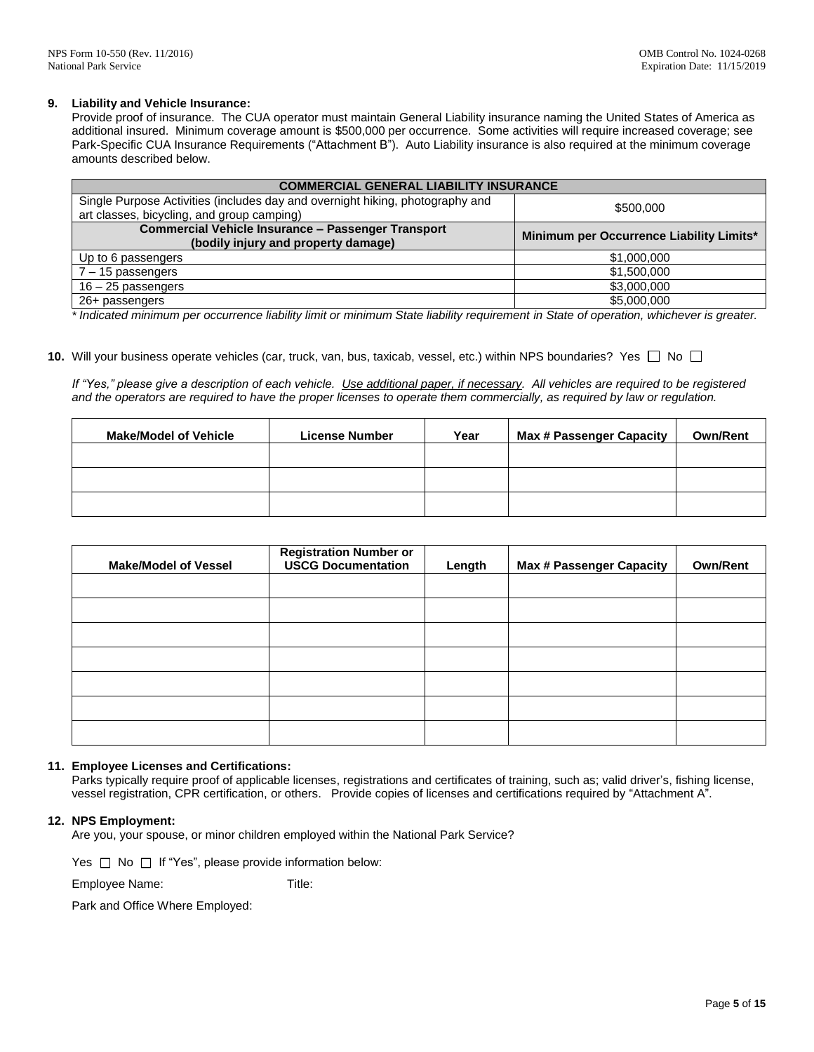### **9. Liability and Vehicle Insurance:**

Provide proof of insurance. The CUA operator must maintain General Liability insurance naming the United States of America as additional insured. Minimum coverage amount is \$500,000 per occurrence. Some activities will require increased coverage; see Park-Specific CUA Insurance Requirements ("Attachment B"). Auto Liability insurance is also required at the minimum coverage amounts described below.

| <b>COMMERCIAL GENERAL LIABILITY INSURANCE</b>                                                                               |                                          |  |
|-----------------------------------------------------------------------------------------------------------------------------|------------------------------------------|--|
| Single Purpose Activities (includes day and overnight hiking, photography and<br>art classes, bicycling, and group camping) | \$500,000                                |  |
| <b>Commercial Vehicle Insurance - Passenger Transport</b><br>(bodily injury and property damage)                            | Minimum per Occurrence Liability Limits* |  |
| Up to 6 passengers                                                                                                          | \$1,000,000                              |  |
| $7 - 15$ passengers                                                                                                         | \$1,500,000                              |  |
| $16 - 25$ passengers                                                                                                        | \$3,000,000                              |  |
| 26+ passengers                                                                                                              | \$5,000,000                              |  |

*\* Indicated minimum per occurrence liability limit or minimum State liability requirement in State of operation, whichever is greater.*

10. Will your business operate vehicles (car, truck, van, bus, taxicab, vessel, etc.) within NPS boundaries? Yes  $\Box$  No  $\Box$ 

*If "Yes," please give a description of each vehicle. Use additional paper, if necessary. All vehicles are required to be registered and the operators are required to have the proper licenses to operate them commercially, as required by law or regulation.*

| <b>Make/Model of Vehicle</b> | <b>License Number</b> | Year | <b>Max # Passenger Capacity</b> | <b>Own/Rent</b> |
|------------------------------|-----------------------|------|---------------------------------|-----------------|
|                              |                       |      |                                 |                 |
|                              |                       |      |                                 |                 |
|                              |                       |      |                                 |                 |

| <b>Make/Model of Vessel</b> | <b>Registration Number or</b><br><b>USCG Documentation</b> | Length | <b>Max # Passenger Capacity</b> | <b>Own/Rent</b> |
|-----------------------------|------------------------------------------------------------|--------|---------------------------------|-----------------|
|                             |                                                            |        |                                 |                 |
|                             |                                                            |        |                                 |                 |
|                             |                                                            |        |                                 |                 |
|                             |                                                            |        |                                 |                 |
|                             |                                                            |        |                                 |                 |
|                             |                                                            |        |                                 |                 |
|                             |                                                            |        |                                 |                 |

# **11. Employee Licenses and Certifications:**

Parks typically require proof of applicable licenses, registrations and certificates of training, such as; valid driver's, fishing license, vessel registration, CPR certification, or others. Provide copies of licenses and certifications required by "Attachment A".

# **12. NPS Employment:**

Are you, your spouse, or minor children employed within the National Park Service?

Yes  $\Box$  No  $\Box$  If "Yes", please provide information below:

Employee Name: Title:

Park and Office Where Employed: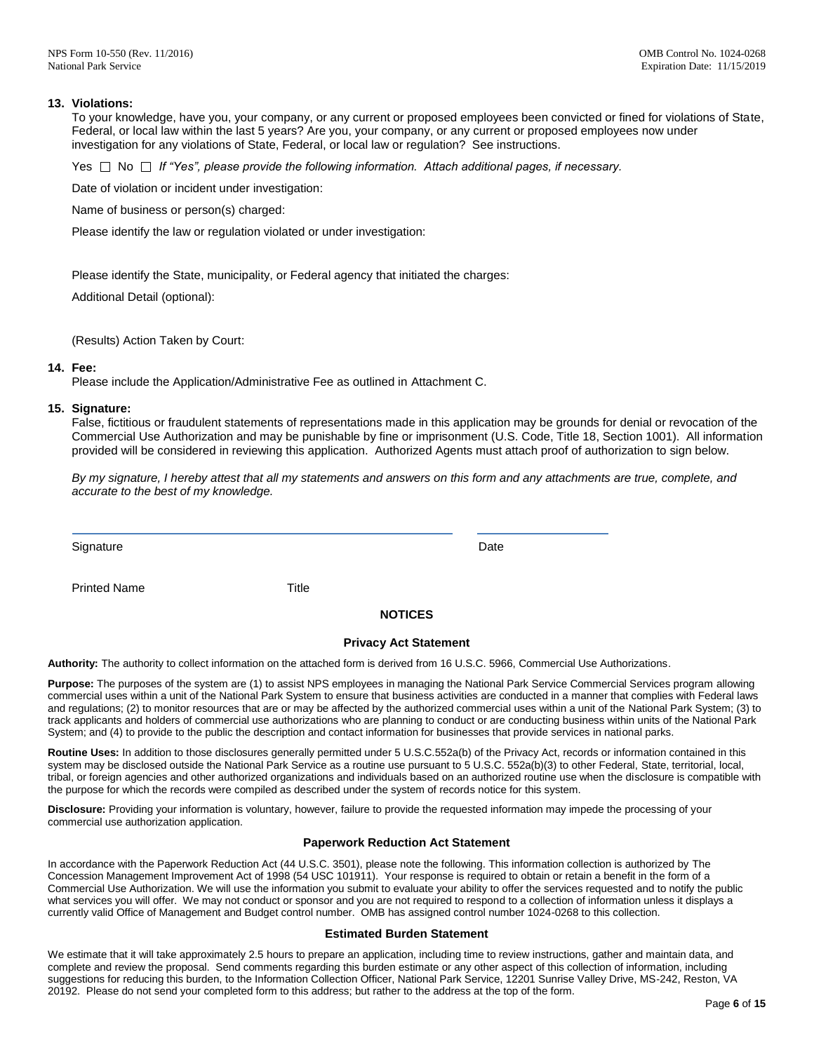# **13. Violations:**

To your knowledge, have you, your company, or any current or proposed employees been convicted or fined for violations of State, Federal, or local law within the last 5 years? Are you, your company, or any current or proposed employees now under investigation for any violations of State, Federal, or local law or regulation? See instructions.

Yes No *If "Yes", please provide the following information. Attach additional pages, if necessary.*

Date of violation or incident under investigation:

Name of business or person(s) charged:

Please identify the law or regulation violated or under investigation:

Please identify the State, municipality, or Federal agency that initiated the charges:

Additional Detail (optional):

(Results) Action Taken by Court:

#### **14. Fee:**

Please include the Application/Administrative Fee as outlined in Attachment C.

#### **15. Signature:**

False, fictitious or fraudulent statements of representations made in this application may be grounds for denial or revocation of the Commercial Use Authorization and may be punishable by fine or imprisonment (U.S. Code, Title 18, Section 1001). All information provided will be considered in reviewing this application. Authorized Agents must attach proof of authorization to sign below.

*By my signature, I hereby attest that all my statements and answers on this form and any attachments are true, complete, and accurate to the best of my knowledge.*

Signature Date Date of the Date of the Date of the Date of the Date of the Date of the Date of the Date of the Date of the Date of the Date of the Date of the Date of the Date of the Date of the Date of the Date of the Dat

Printed Name Title

# **NOTICES**

#### **Privacy Act Statement**

**Authority:** The authority to collect information on the attached form is derived from 16 U.S.C. 5966, Commercial Use Authorizations.

**Purpose:** The purposes of the system are (1) to assist NPS employees in managing the National Park Service Commercial Services program allowing commercial uses within a unit of the National Park System to ensure that business activities are conducted in a manner that complies with Federal laws and regulations; (2) to monitor resources that are or may be affected by the authorized commercial uses within a unit of the National Park System; (3) to track applicants and holders of commercial use authorizations who are planning to conduct or are conducting business within units of the National Park System; and (4) to provide to the public the description and contact information for businesses that provide services in national parks.

**Routine Uses:** In addition to those disclosures generally permitted under 5 U.S.C.552a(b) of the Privacy Act, records or information contained in this system may be disclosed outside the National Park Service as a routine use pursuant to 5 U.S.C. 552a(b)(3) to other Federal, State, territorial, local, tribal, or foreign agencies and other authorized organizations and individuals based on an authorized routine use when the disclosure is compatible with the purpose for which the records were compiled as described under the system of records notice for this system.

**Disclosure:** Providing your information is voluntary, however, failure to provide the requested information may impede the processing of your commercial use authorization application.

#### **Paperwork Reduction Act Statement**

In accordance with the Paperwork Reduction Act (44 U.S.C. 3501), please note the following. This information collection is authorized by The Concession Management Improvement Act of 1998 (54 USC 101911). Your response is required to obtain or retain a benefit in the form of a Commercial Use Authorization. We will use the information you submit to evaluate your ability to offer the services requested and to notify the public what services you will offer. We may not conduct or sponsor and you are not required to respond to a collection of information unless it displays a currently valid Office of Management and Budget control number. OMB has assigned control number 1024-0268 to this collection.

#### **Estimated Burden Statement**

We estimate that it will take approximately 2.5 hours to prepare an application, including time to review instructions, gather and maintain data, and complete and review the proposal. Send comments regarding this burden estimate or any other aspect of this collection of information, including suggestions for reducing this burden, to the Information Collection Officer, National Park Service, 12201 Sunrise Valley Drive, MS-242, Reston, VA 20192. Please do not send your completed form to this address; but rather to the address at the top of the form.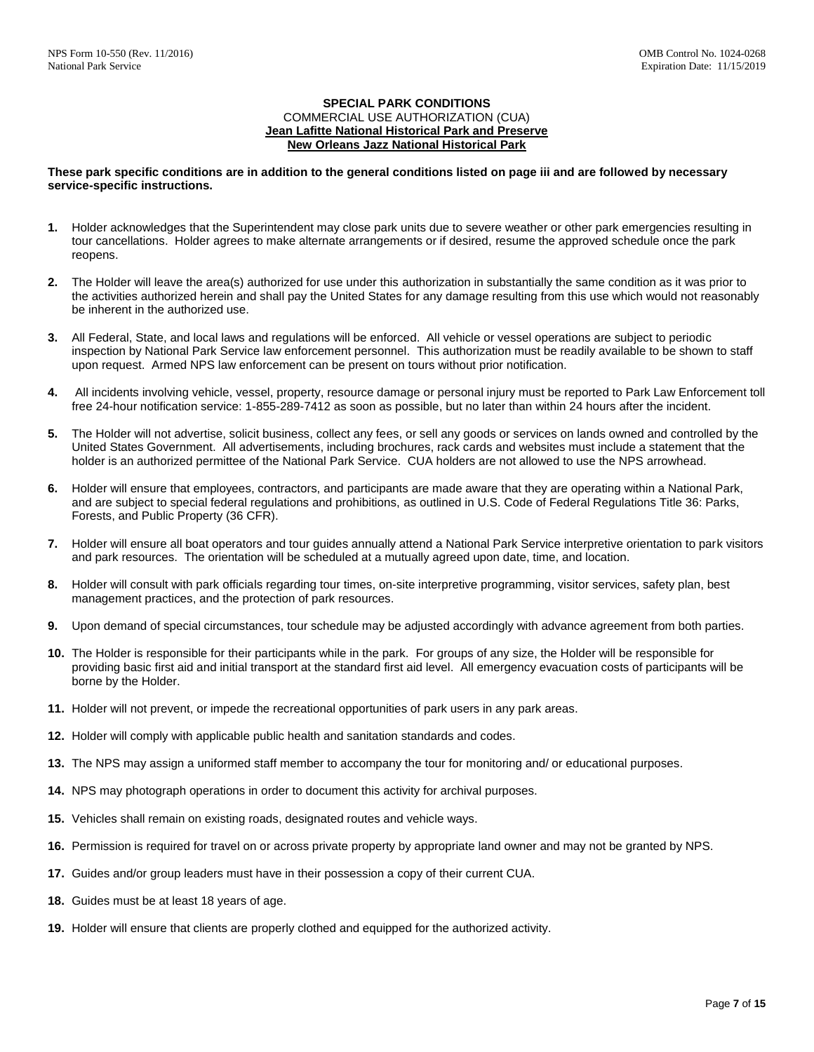### **SPECIAL PARK CONDITIONS** COMMERCIAL USE AUTHORIZATION (CUA) **Jean Lafitte National Historical Park and Preserve New Orleans Jazz National Historical Park**

### **These park specific conditions are in addition to the general conditions listed on page iii and are followed by necessary service-specific instructions.**

- **1.** Holder acknowledges that the Superintendent may close park units due to severe weather or other park emergencies resulting in tour cancellations. Holder agrees to make alternate arrangements or if desired, resume the approved schedule once the park reopens.
- **2.** The Holder will leave the area(s) authorized for use under this authorization in substantially the same condition as it was prior to the activities authorized herein and shall pay the United States for any damage resulting from this use which would not reasonably be inherent in the authorized use.
- **3.** All Federal, State, and local laws and regulations will be enforced. All vehicle or vessel operations are subject to periodic inspection by National Park Service law enforcement personnel. This authorization must be readily available to be shown to staff upon request. Armed NPS law enforcement can be present on tours without prior notification.
- **4.** All incidents involving vehicle, vessel, property, resource damage or personal injury must be reported to Park Law Enforcement toll free 24-hour notification service: 1-855-289-7412 as soon as possible, but no later than within 24 hours after the incident.
- **5.** The Holder will not advertise, solicit business, collect any fees, or sell any goods or services on lands owned and controlled by the United States Government. All advertisements, including brochures, rack cards and websites must include a statement that the holder is an authorized permittee of the National Park Service. CUA holders are not allowed to use the NPS arrowhead.
- **6.** Holder will ensure that employees, contractors, and participants are made aware that they are operating within a National Park, and are subject to special federal regulations and prohibitions, as outlined in U.S. Code of Federal Regulations Title 36: Parks, Forests, and Public Property (36 CFR).
- **7.** Holder will ensure all boat operators and tour guides annually attend a National Park Service interpretive orientation to park visitors and park resources. The orientation will be scheduled at a mutually agreed upon date, time, and location.
- **8.** Holder will consult with park officials regarding tour times, on-site interpretive programming, visitor services, safety plan, best management practices, and the protection of park resources.
- **9.** Upon demand of special circumstances, tour schedule may be adjusted accordingly with advance agreement from both parties.
- **10.** The Holder is responsible for their participants while in the park. For groups of any size, the Holder will be responsible for providing basic first aid and initial transport at the standard first aid level. All emergency evacuation costs of participants will be borne by the Holder.
- **11.** Holder will not prevent, or impede the recreational opportunities of park users in any park areas.
- **12.** Holder will comply with applicable public health and sanitation standards and codes.
- **13.** The NPS may assign a uniformed staff member to accompany the tour for monitoring and/ or educational purposes.
- **14.** NPS may photograph operations in order to document this activity for archival purposes.
- **15.** Vehicles shall remain on existing roads, designated routes and vehicle ways.
- **16.** Permission is required for travel on or across private property by appropriate land owner and may not be granted by NPS.
- **17.** Guides and/or group leaders must have in their possession a copy of their current CUA.
- **18.** Guides must be at least 18 years of age.
- **19.** Holder will ensure that clients are properly clothed and equipped for the authorized activity.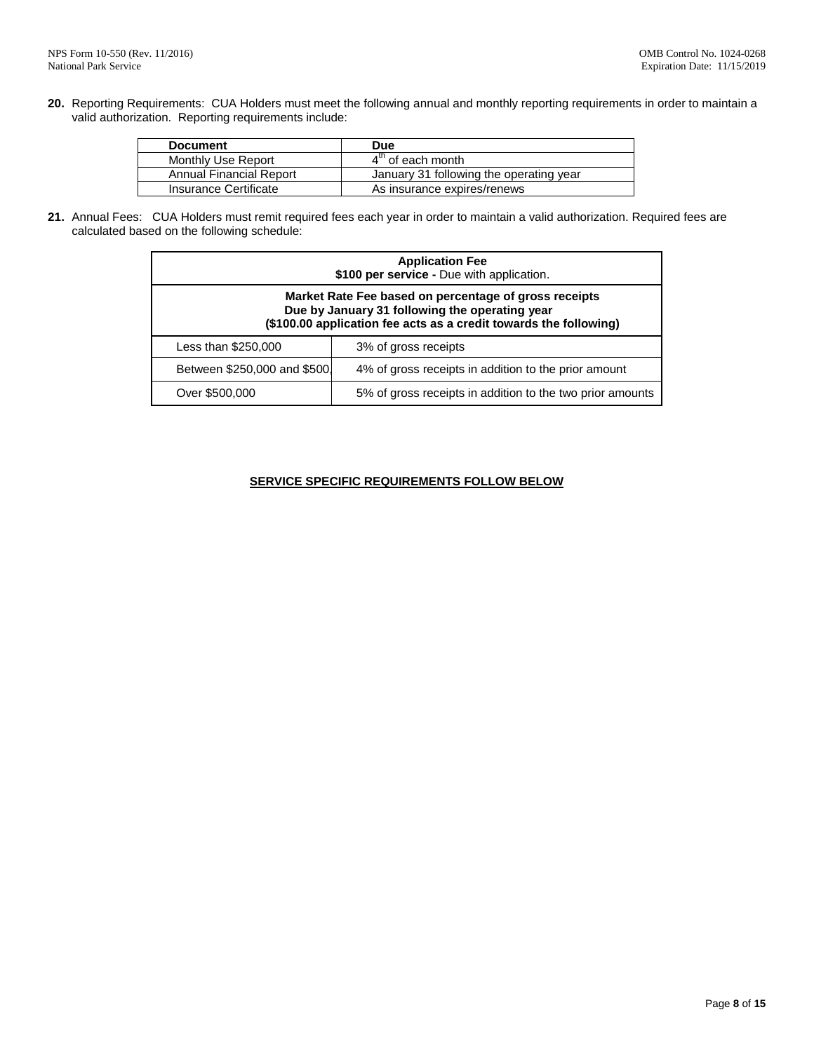**20.** Reporting Requirements: CUA Holders must meet the following annual and monthly reporting requirements in order to maintain a valid authorization. Reporting requirements include:

| <b>Document</b>         | <b>Due</b>                              |
|-------------------------|-----------------------------------------|
| Monthly Use Report      | 4 <sup>th</sup> of each month           |
| Annual Financial Report | January 31 following the operating year |
| Insurance Certificate   | As insurance expires/renews             |

**21.** Annual Fees: CUA Holders must remit required fees each year in order to maintain a valid authorization. Required fees are calculated based on the following schedule:

|                                                                                                                                                                              | <b>Application Fee</b><br>\$100 per service - Due with application. |  |  |
|------------------------------------------------------------------------------------------------------------------------------------------------------------------------------|---------------------------------------------------------------------|--|--|
| Market Rate Fee based on percentage of gross receipts<br>Due by January 31 following the operating year<br>(\$100.00 application fee acts as a credit towards the following) |                                                                     |  |  |
| Less than \$250,000                                                                                                                                                          | 3% of gross receipts                                                |  |  |
| Between \$250,000 and \$500.                                                                                                                                                 | 4% of gross receipts in addition to the prior amount                |  |  |
| Over \$500,000                                                                                                                                                               | 5% of gross receipts in addition to the two prior amounts           |  |  |

# **SERVICE SPECIFIC REQUIREMENTS FOLLOW BELOW**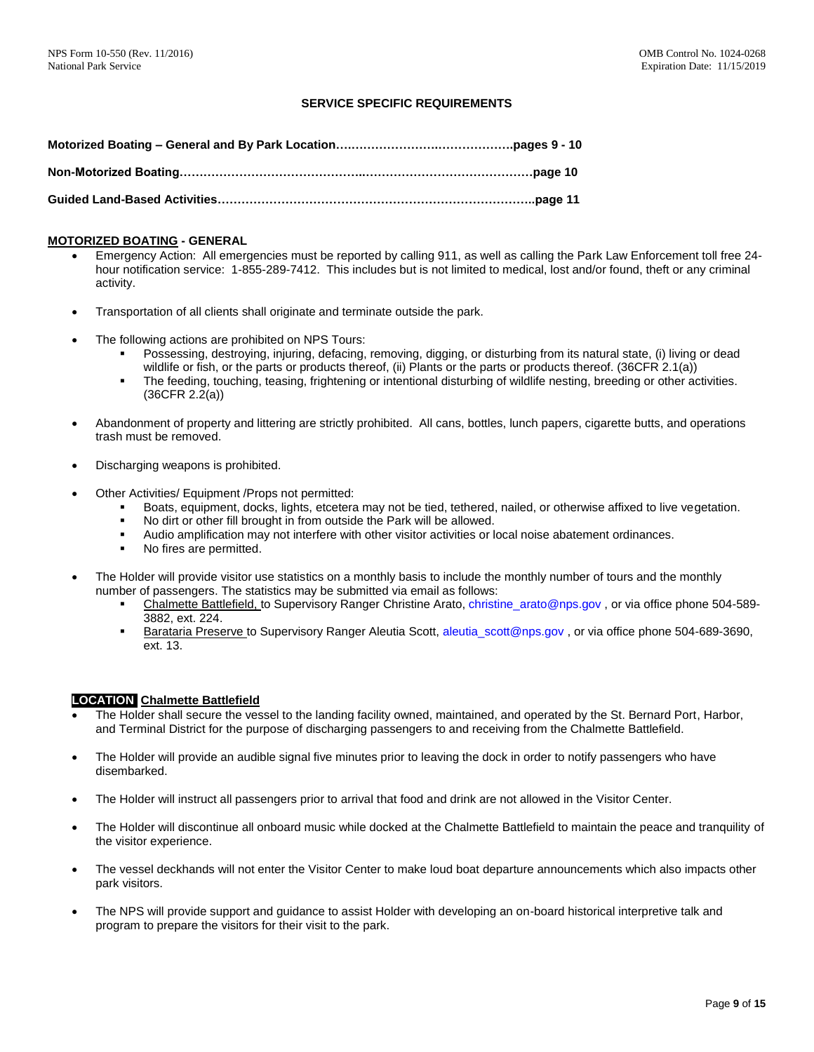# **SERVICE SPECIFIC REQUIREMENTS**

#### **MOTORIZED BOATING - GENERAL**

- Emergency Action: All emergencies must be reported by calling 911, as well as calling the Park Law Enforcement toll free 24 hour notification service: 1-855-289-7412. This includes but is not limited to medical, lost and/or found, theft or any criminal activity.
- Transportation of all clients shall originate and terminate outside the park.
- The following actions are prohibited on NPS Tours:
	- Possessing, destroying, injuring, defacing, removing, digging, or disturbing from its natural state, (i) living or dead wildlife or fish, or the parts or products thereof, (ii) Plants or the parts or products thereof. (36CFR 2.1(a))
	- The feeding, touching, teasing, frightening or intentional disturbing of wildlife nesting, breeding or other activities. (36CFR 2.2(a))
- Abandonment of property and littering are strictly prohibited. All cans, bottles, lunch papers, cigarette butts, and operations trash must be removed.
- Discharging weapons is prohibited.
- Other Activities/ Equipment /Props not permitted:
	- Boats, equipment, docks, lights, etcetera may not be tied, tethered, nailed, or otherwise affixed to live vegetation.
	- No dirt or other fill brought in from outside the Park will be allowed.
	- Audio amplification may not interfere with other visitor activities or local noise abatement ordinances.<br>• No fires are permitted.
	- No fires are permitted.
- The Holder will provide visitor use statistics on a monthly basis to include the monthly number of tours and the monthly number of passengers. The statistics may be submitted via email as follows:
	- Chalmette Battlefield, to Supervisory Ranger Christine Arato[, christine\\_arato@nps.gov](mailto:christine_arato@nps.gov) , or via office phone 504-589- 3882, ext. 224.
	- Barataria Preserve to Supervisory Ranger Aleutia Scott, aleutia scott@nps.gov, or via office phone 504-689-3690, ext. 13.

# **LOCATION Chalmette Battlefield**

- The Holder shall secure the vessel to the landing facility owned, maintained, and operated by the St. Bernard Port, Harbor, and Terminal District for the purpose of discharging passengers to and receiving from the Chalmette Battlefield.
- The Holder will provide an audible signal five minutes prior to leaving the dock in order to notify passengers who have disembarked.
- The Holder will instruct all passengers prior to arrival that food and drink are not allowed in the Visitor Center.
- The Holder will discontinue all onboard music while docked at the Chalmette Battlefield to maintain the peace and tranquility of the visitor experience.
- The vessel deckhands will not enter the Visitor Center to make loud boat departure announcements which also impacts other park visitors.
- The NPS will provide support and guidance to assist Holder with developing an on-board historical interpretive talk and program to prepare the visitors for their visit to the park.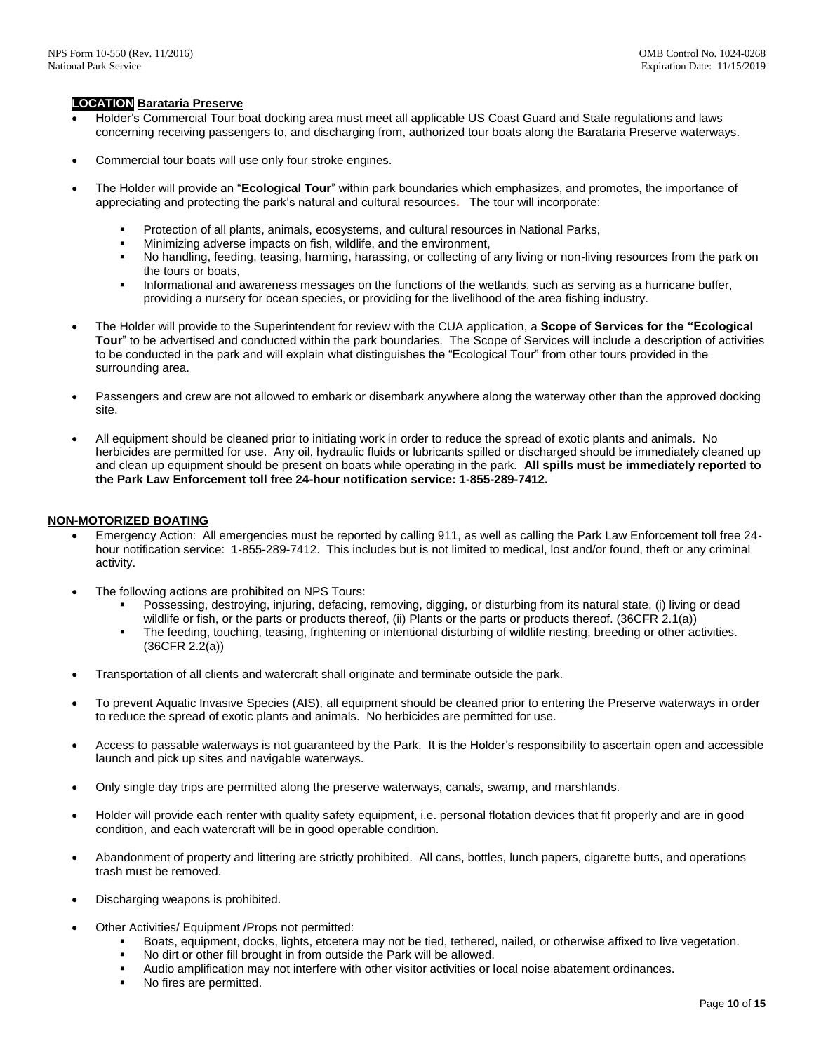# **LOCATION Barataria Preserve**

- Holder's Commercial Tour boat docking area must meet all applicable US Coast Guard and State regulations and laws concerning receiving passengers to, and discharging from, authorized tour boats along the Barataria Preserve waterways.
- Commercial tour boats will use only four stroke engines.
- The Holder will provide an "**Ecological Tour**" within park boundaries which emphasizes, and promotes, the importance of appreciating and protecting the park's natural and cultural resources**.** The tour will incorporate:
	- Protection of all plants, animals, ecosystems, and cultural resources in National Parks,
	- Minimizing adverse impacts on fish, wildlife, and the environment,
	- No handling, feeding, teasing, harming, harassing, or collecting of any living or non-living resources from the park on the tours or boats,
	- Informational and awareness messages on the functions of the wetlands, such as serving as a hurricane buffer, providing a nursery for ocean species, or providing for the livelihood of the area fishing industry.
- The Holder will provide to the Superintendent for review with the CUA application, a **Scope of Services for the "Ecological Tour**" to be advertised and conducted within the park boundaries. The Scope of Services will include a description of activities to be conducted in the park and will explain what distinguishes the "Ecological Tour" from other tours provided in the surrounding area.
- Passengers and crew are not allowed to embark or disembark anywhere along the waterway other than the approved docking site.
- All equipment should be cleaned prior to initiating work in order to reduce the spread of exotic plants and animals. No herbicides are permitted for use. Any oil, hydraulic fluids or lubricants spilled or discharged should be immediately cleaned up and clean up equipment should be present on boats while operating in the park. **All spills must be immediately reported to the Park Law Enforcement toll free 24-hour notification service: 1-855-289-7412.**

### **NON-MOTORIZED BOATING**

- Emergency Action: All emergencies must be reported by calling 911, as well as calling the Park Law Enforcement toll free 24 hour notification service: 1-855-289-7412. This includes but is not limited to medical, lost and/or found, theft or any criminal activity.
- The following actions are prohibited on NPS Tours:
	- Possessing, destroying, injuring, defacing, removing, digging, or disturbing from its natural state, (i) living or dead wildlife or fish, or the parts or products thereof, (ii) Plants or the parts or products thereof. (36CFR 2.1(a))
	- The feeding, touching, teasing, frightening or intentional disturbing of wildlife nesting, breeding or other activities. (36CFR 2.2(a))
- Transportation of all clients and watercraft shall originate and terminate outside the park.
- To prevent Aquatic Invasive Species (AIS), all equipment should be cleaned prior to entering the Preserve waterways in order to reduce the spread of exotic plants and animals. No herbicides are permitted for use.
- Access to passable waterways is not guaranteed by the Park. It is the Holder's responsibility to ascertain open and accessible launch and pick up sites and navigable waterways.
- Only single day trips are permitted along the preserve waterways, canals, swamp, and marshlands.
- Holder will provide each renter with quality safety equipment, i.e. personal flotation devices that fit properly and are in good condition, and each watercraft will be in good operable condition.
- Abandonment of property and littering are strictly prohibited. All cans, bottles, lunch papers, cigarette butts, and operations trash must be removed.
- Discharging weapons is prohibited.
- Other Activities/ Equipment /Props not permitted:
	- Boats, equipment, docks, lights, etcetera may not be tied, tethered, nailed, or otherwise affixed to live vegetation.
	- No dirt or other fill brought in from outside the Park will be allowed.
	- Audio amplification may not interfere with other visitor activities or local noise abatement ordinances.
	- No fires are permitted.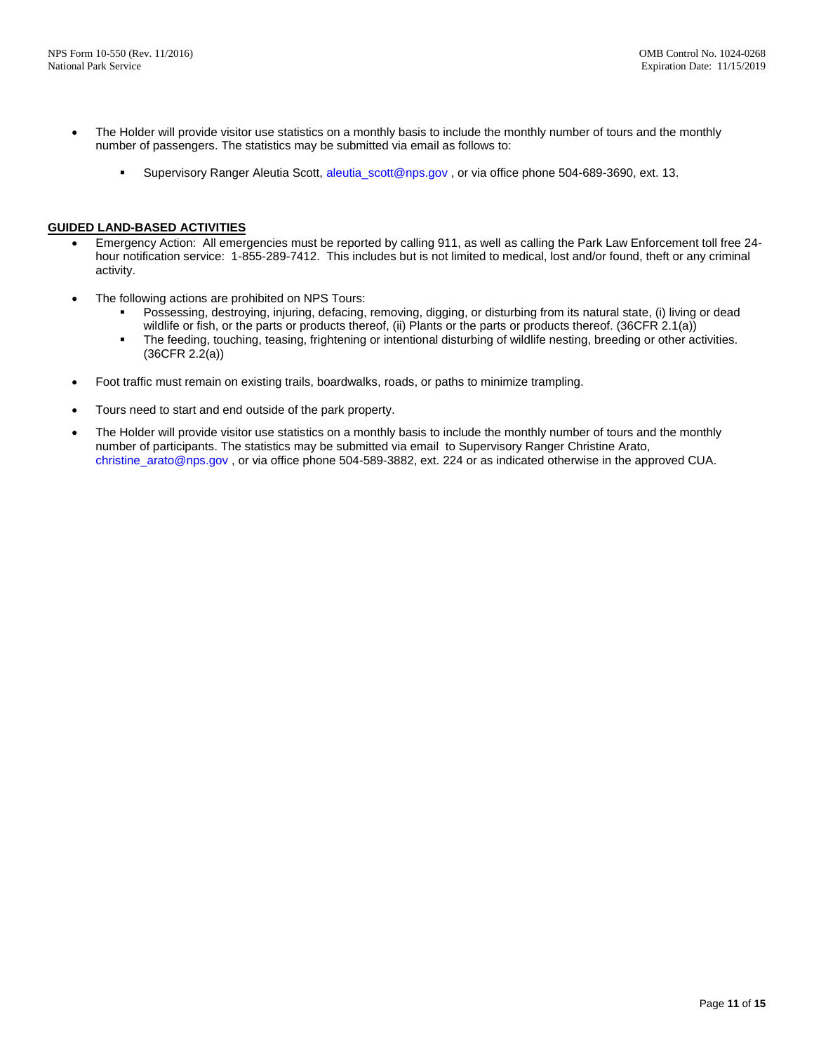- The Holder will provide visitor use statistics on a monthly basis to include the monthly number of tours and the monthly number of passengers. The statistics may be submitted via email as follows to:
	- Supervisory Ranger Aleutia Scott[, aleutia\\_scott@nps.gov](mailto:aleutia_scott@nps.gov) , or via office phone 504-689-3690, ext. 13.

### **GUIDED LAND-BASED ACTIVITIES**

- Emergency Action: All emergencies must be reported by calling 911, as well as calling the Park Law Enforcement toll free 24 hour notification service: 1-855-289-7412. This includes but is not limited to medical, lost and/or found, theft or any criminal activity.
- The following actions are prohibited on NPS Tours:
	- Possessing, destroying, injuring, defacing, removing, digging, or disturbing from its natural state, (i) living or dead wildlife or fish, or the parts or products thereof, (ii) Plants or the parts or products thereof. (36CFR 2.1(a))
	- The feeding, touching, teasing, frightening or intentional disturbing of wildlife nesting, breeding or other activities. (36CFR 2.2(a))
- Foot traffic must remain on existing trails, boardwalks, roads, or paths to minimize trampling.
- Tours need to start and end outside of the park property.
- The Holder will provide visitor use statistics on a monthly basis to include the monthly number of tours and the monthly number of participants. The statistics may be submitted via email to Supervisory Ranger Christine Arato, [christine\\_arato@nps.gov](mailto:christine_arato@nps.gov) , or via office phone 504-589-3882, ext. 224 or as indicated otherwise in the approved CUA.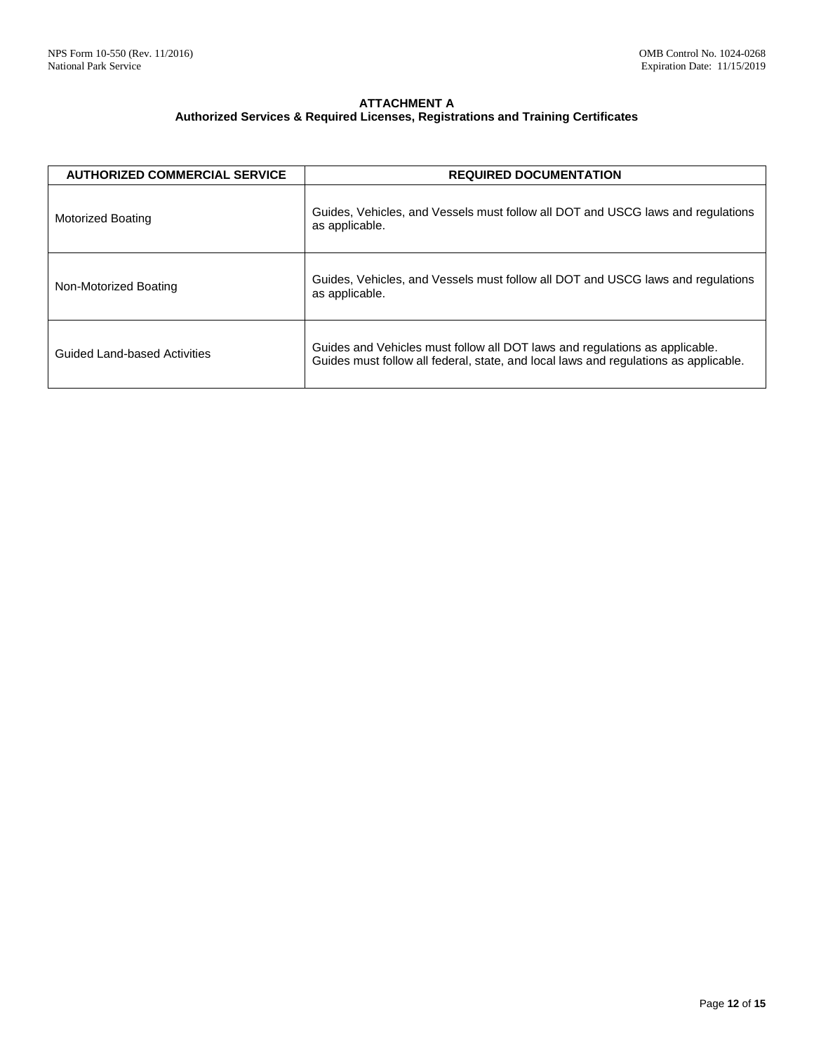# **ATTACHMENT A Authorized Services & Required Licenses, Registrations and Training Certificates**

| <b>AUTHORIZED COMMERCIAL SERVICE</b> | <b>REQUIRED DOCUMENTATION</b>                                                                                                                                       |
|--------------------------------------|---------------------------------------------------------------------------------------------------------------------------------------------------------------------|
| Motorized Boating                    | Guides, Vehicles, and Vessels must follow all DOT and USCG laws and regulations<br>as applicable.                                                                   |
| Non-Motorized Boating                | Guides, Vehicles, and Vessels must follow all DOT and USCG laws and regulations<br>as applicable.                                                                   |
| Guided Land-based Activities         | Guides and Vehicles must follow all DOT laws and regulations as applicable.<br>Guides must follow all federal, state, and local laws and regulations as applicable. |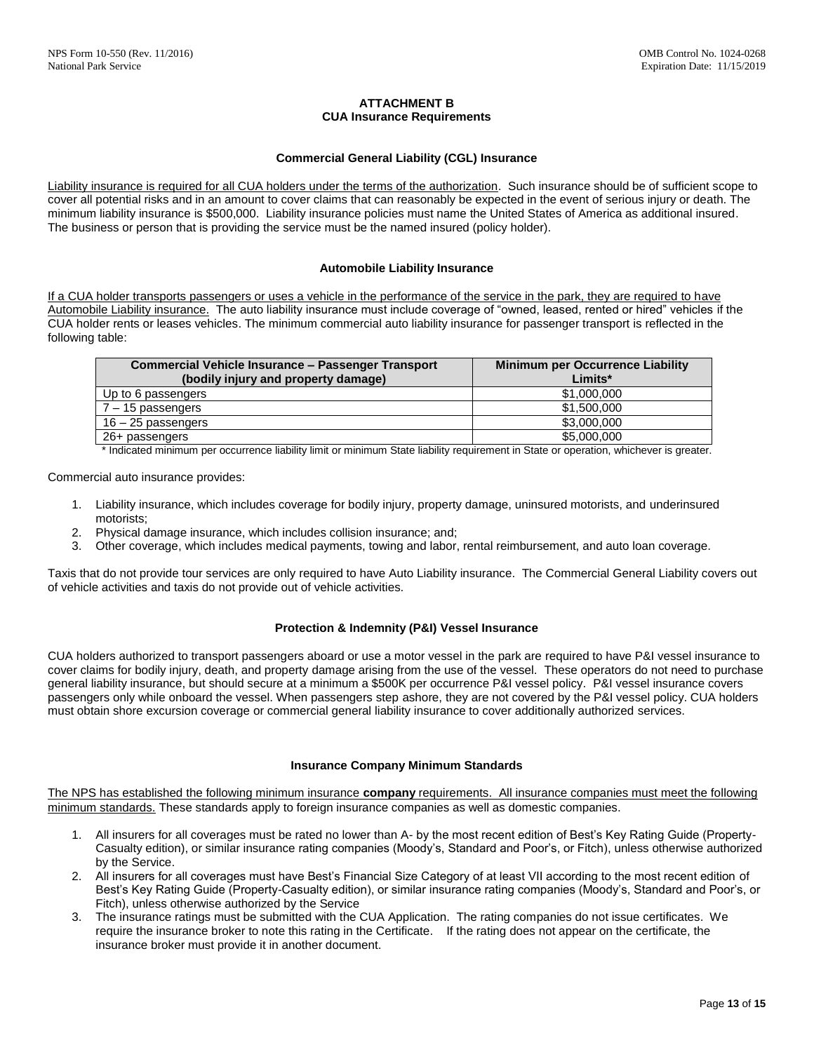# **ATTACHMENT B CUA Insurance Requirements**

### **Commercial General Liability (CGL) Insurance**

Liability insurance is required for all CUA holders under the terms of the authorization. Such insurance should be of sufficient scope to cover all potential risks and in an amount to cover claims that can reasonably be expected in the event of serious injury or death. The minimum liability insurance is \$500,000. Liability insurance policies must name the United States of America as additional insured. The business or person that is providing the service must be the named insured (policy holder).

#### **Automobile Liability Insurance**

If a CUA holder transports passengers or uses a vehicle in the performance of the service in the park, they are required to have Automobile Liability insurance. The auto liability insurance must include coverage of "owned, leased, rented or hired" vehicles if the CUA holder rents or leases vehicles. The minimum commercial auto liability insurance for passenger transport is reflected in the following table:

| <b>Commercial Vehicle Insurance - Passenger Transport</b> | Minimum per Occurrence Liability |  |
|-----------------------------------------------------------|----------------------------------|--|
| (bodily injury and property damage)                       | Limits*                          |  |
| Up to 6 passengers                                        | \$1,000,000                      |  |
| $7 - 15$ passengers                                       | \$1,500,000                      |  |
| 16 - 25 passengers                                        | \$3,000,000                      |  |
| 26+ passengers                                            | \$5,000,000                      |  |

\* Indicated minimum per occurrence liability limit or minimum State liability requirement in State or operation, whichever is greater.

Commercial auto insurance provides:

- 1. Liability insurance, which includes coverage for bodily injury, property damage, uninsured motorists, and underinsured motorists;
- 2. Physical damage insurance, which includes collision insurance; and;
- 3. Other coverage, which includes medical payments, towing and labor, rental reimbursement, and auto loan coverage.

Taxis that do not provide tour services are only required to have Auto Liability insurance. The Commercial General Liability covers out of vehicle activities and taxis do not provide out of vehicle activities.

# **Protection & Indemnity (P&I) Vessel Insurance**

CUA holders authorized to transport passengers aboard or use a motor vessel in the park are required to have P&I vessel insurance to cover claims for bodily injury, death, and property damage arising from the use of the vessel. These operators do not need to purchase general liability insurance, but should secure at a minimum a \$500K per occurrence P&I vessel policy. P&I vessel insurance covers passengers only while onboard the vessel. When passengers step ashore, they are not covered by the P&I vessel policy. CUA holders must obtain shore excursion coverage or commercial general liability insurance to cover additionally authorized services.

#### **Insurance Company Minimum Standards**

The NPS has established the following minimum insurance **company** requirements. All insurance companies must meet the following minimum standards. These standards apply to foreign insurance companies as well as domestic companies.

- 1. All insurers for all coverages must be rated no lower than A- by the most recent edition of Best's Key Rating Guide (Property-Casualty edition), or similar insurance rating companies (Moody's, Standard and Poor's, or Fitch), unless otherwise authorized by the Service.
- 2. All insurers for all coverages must have Best's Financial Size Category of at least VII according to the most recent edition of Best's Key Rating Guide (Property-Casualty edition), or similar insurance rating companies (Moody's, Standard and Poor's, or Fitch), unless otherwise authorized by the Service
- 3. The insurance ratings must be submitted with the CUA Application. The rating companies do not issue certificates. We require the insurance broker to note this rating in the Certificate. If the rating does not appear on the certificate, the insurance broker must provide it in another document.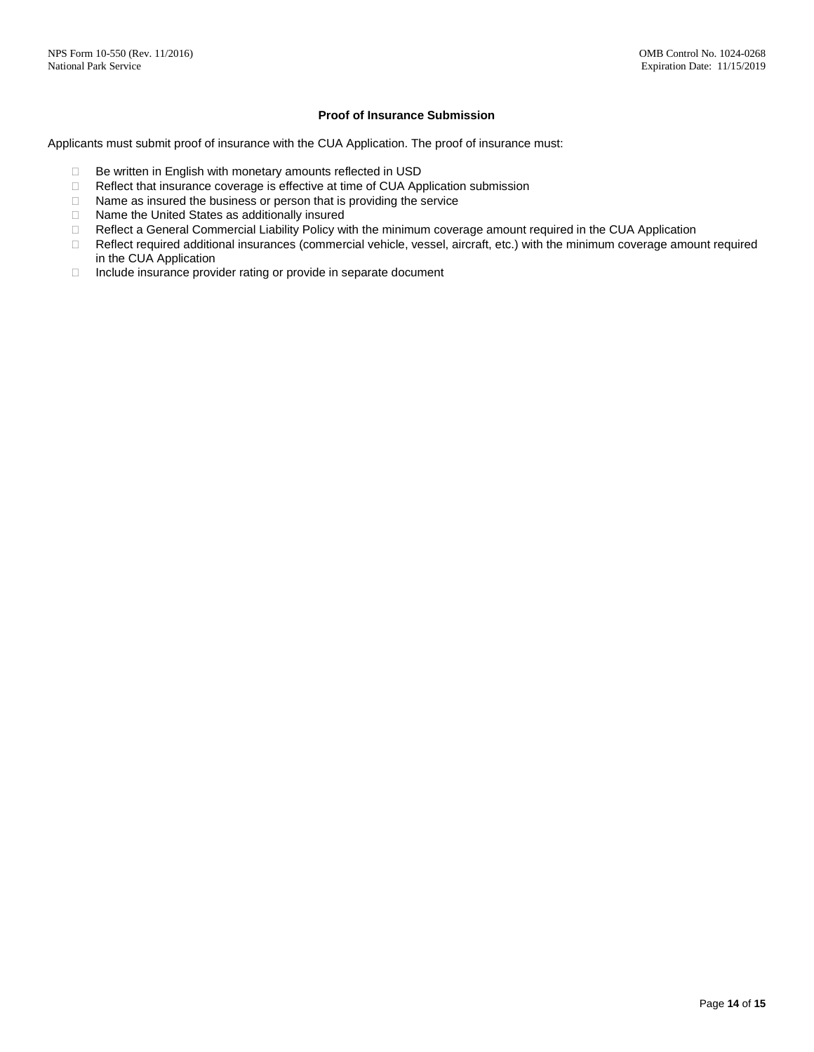### **Proof of Insurance Submission**

Applicants must submit proof of insurance with the CUA Application. The proof of insurance must:

- □ Be written in English with monetary amounts reflected in USD
- □ Reflect that insurance coverage is effective at time of CUA Application submission
- $\Box$  Name as insured the business or person that is providing the service
- □ Name the United States as additionally insured
- Reflect a General Commercial Liability Policy with the minimum coverage amount required in the CUA Application
- □ Reflect required additional insurances (commercial vehicle, vessel, aircraft, etc.) with the minimum coverage amount required in the CUA Application
- □ Include insurance provider rating or provide in separate document